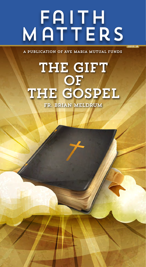# MATTERS

a publication of Ave Maria mutual funds

issue 28

## **THE GIFT** OF THE GOSPEL Fr. Brian Meldrum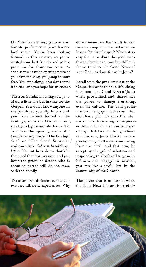On Saturday evening, you see your favorite performer at your favorite local venue. You've been looking forward to this concert, so you've invited your best friends and paid a premium for front-row seats. As soon as you hear the opening notes of your favorite song, you jump to your feet. You sing along. You don't want it to end, and you hope for an encore.

Then on Sunday morning you go to Mass, a little late but in time for the Gospel. You don't know anyone in the parish, so you slip into a back pew. You haven't looked at the readings, so as the Gospel is read, you try to figure out which one it is. You hear the opening words of a familiar story, maybe "The Prodigal Son" or "The Good Samaritan," and you think: *Old news. Heard this one before*. You sit back down thankful they used the short version, and you hope the priest or deacon who is about to preach will do the same with the homily.

These are two different events and two very different experiences. Why do we memorize the words to our favorite songs but zone out when we hear a familiar Gospel? Why is it so easy for us to share the good news that the band is in town but difficult for us to share the Good News of what God has done for us in Jesus?

Recall what the proclamation of the Gospel is meant to be: a life-changing event. The Good News of Jesus when proclaimed and shared has the power to change everything, even the culture. The bold proclamation, the *kerygma*, is the truth that God has a plan for your life; that sin and its devastating consequences disrupt God's plan and rob you of joy; that God in his goodness sent his son, Jesus Christ, to save you by dying on the cross and rising from the dead; and that now, by accepting the gift of salvation and responding to God's call to grow in holiness and engage in mission, you can live a joyful life in the community of the Church.

The power that is unleashed when the Good News is heard is precisely

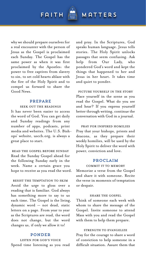why we should prepare ourselves for a real encounter with the person of Jesus as the Gospel is proclaimed each Sunday. The Gospel has the same power as when it was first proclaimed by the Apostles: the power to free captives from slavery to sin, to set cold hearts ablaze with the fire of the Holy Spirit and to compel us forward to share the Good News.

#### Prepare

#### Seek out the readings

It has never been easier to access the word of God. You can get daily and Sunday readings from any number of apps, podcasts, print media and websites. The U.S. Bishops' website, usccb.org, is always a great place to start.

Read the Gospel before Sunday Read the Sunday Gospel ahead for the following Sunday early in the week. Name a certain grace you hope to receive as you read the word.

#### Resist the temptation to skim Avoid the urge to gloss over a reading that is familiar. God always has something more to say to us each time. The Gospel is the living, dynamic word — not dead, static letters on a page. From year to year as the Scriptures are read, the word does not change, but the word changes us, if only we allow it to!

#### **PONDER**

Listen for God's voice Spend time listening as you read

and pray. In the Scriptures, God speaks human language. Jesus tells stories. The Holy Spirit unlocks passages that seem confusing. Ask help from Our Lady, who pondered God's word and kept the things that happened to her and Jesus in her heart. It takes time and quiet to ponder.

PICTURE YOURSELF IN THE STORY Place yourself in the scene as you read the Gospel. What do you see and hear? If you express yourself better through writing, continue the conversation with God in a journal.

Pray for inspired homilies Pray that your bishops, priests and deacons, as they prepare their weekly homilies, will be used by the Holy Spirit to deliver the word with power, conviction and love.

#### Proclaim

#### Commit it to memory

Memorize a verse from the Gospel and share it with someone. Recite the verse in moments of temptation or despair.

#### SHARE THE GOSPEL

Think of someone each week with whom to share the message of the Gospel. Invite someone to attend Mass with you and read the Gospel with them to help them prepare.

#### strength to evangelize

Pray for the courage to share a word of conviction to help someone in a difficult situation. Assure them that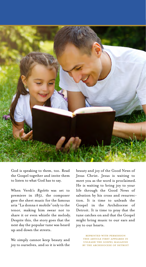

God is speaking to them, too. Read the Gospel together and invite them to listen to what God has to say.

When Verdi's *Rigoletto* was set to premiere in 1851, the composer gave the sheet music for the famous aria "La donna è mobile"only to the tenor, making him swear not to share it or even whistle the melody. Despite this, the story goes that the next day the popular tune was heard up and down the streets.

We simply cannot keep beauty and joy to ourselves, and so it is with the

beauty and joy of the Good News of Jesus Christ. Jesus is waiting to meet you as the word is proclaimed. He is waiting to bring joy to your life through the Good News of salvation by his cross and resurrection. It is time to unleash the Gospel in the Archdiocese of Detroit. It is time to pray that the tune catches on and that the Gospel might bring music to our ears and joy to our hearts.

> reprinted with permission this article first appeared in Unleash the Gospel Magazine by the Archdiocese of Detroit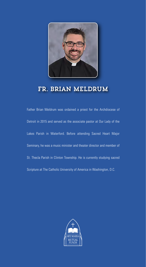

### Fr. Brian Meldrum

Father Brian Meldrum was ordained a priest for the Archdiocese of Detroit in 2015 and served as the associate pastor at Our Lady of the Lakes Parish in Waterford. Before attending Sacred Heart Major Seminary, he was a music minister and theater director and member of St. Thecla Parish in Clinton Township. He is currently studying sacred Scripture at The Catholic University of America in Washington, D.C.